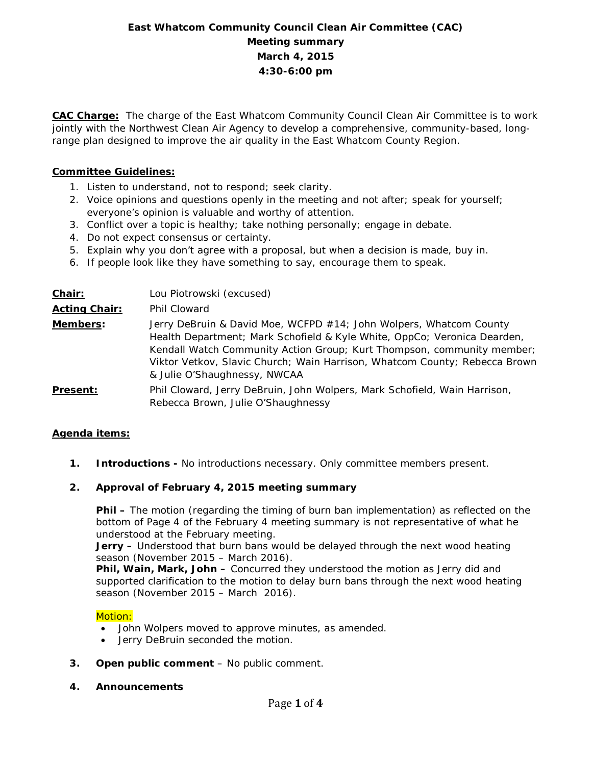# **East Whatcom Community Council Clean Air Committee (CAC) Meeting summary March 4, 2015 4:30-6:00 pm**

**CAC Charge:** The charge of the East Whatcom Community Council Clean Air Committee is to work jointly with the Northwest Clean Air Agency to develop a comprehensive, community-based, longrange plan designed to improve the air quality in the East Whatcom County Region.

# **Committee Guidelines:**

- 1. Listen to understand, not to respond; seek clarity.
- 2. Voice opinions and questions openly in the meeting and not after; speak for yourself; everyone's opinion is valuable and worthy of attention.
- 3. Conflict over a topic is healthy; take nothing personally; engage in debate.
- 4. Do not expect consensus or certainty.
- 5. Explain why you don't agree with a proposal, but when a decision is made, buy in.
- 6. If people look like they have something to say, encourage them to speak.

| Chair:               | Lou Piotrowski (excused)                                                                                                                                                                                                                                                                                                               |
|----------------------|----------------------------------------------------------------------------------------------------------------------------------------------------------------------------------------------------------------------------------------------------------------------------------------------------------------------------------------|
| <b>Acting Chair:</b> | Phil Cloward                                                                                                                                                                                                                                                                                                                           |
| Members:             | Jerry DeBruin & David Moe, WCFPD #14; John Wolpers, Whatcom County<br>Health Department; Mark Schofield & Kyle White, OppCo; Veronica Dearden,<br>Kendall Watch Community Action Group; Kurt Thompson, community member;<br>Viktor Vetkov, Slavic Church; Wain Harrison, Whatcom County; Rebecca Brown<br>& Julie O'Shaughnessy, NWCAA |
| <b>Present:</b>      | Phil Cloward, Jerry DeBruin, John Wolpers, Mark Schofield, Wain Harrison,<br>Rebecca Brown, Julie O'Shaughnessy                                                                                                                                                                                                                        |

## **Agenda items:**

**1. Introductions -** No introductions necessary. Only committee members present.

# **2. Approval of February 4, 2015 meeting summary**

**Phil –** The motion (regarding the timing of burn ban implementation) as reflected on the bottom of Page 4 of the February 4 meeting summary is not representative of what he understood at the February meeting.

**Jerry –** Understood that burn bans would be delayed through the next wood heating season (November 2015 – March 2016).

**Phil, Wain, Mark, John –** Concurred they understood the motion as Jerry did and supported clarification to the motion to delay burn bans through the next wood heating season (November 2015 – March 2016).

## Motion:

- John Wolpers moved to approve minutes, as amended.
- Jerry DeBruin seconded the motion.
- **3. Open public comment**  No public comment.
- **4. Announcements**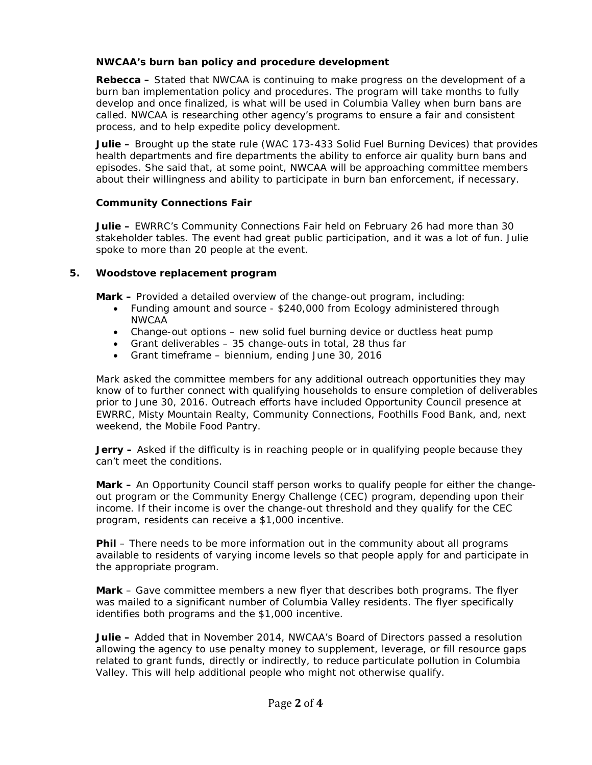# **NWCAA's burn ban policy and procedure development**

**Rebecca –** Stated that NWCAA is continuing to make progress on the development of a burn ban implementation policy and procedures. The program will take months to fully develop and once finalized, is what will be used in Columbia Valley when burn bans are called. NWCAA is researching other agency's programs to ensure a fair and consistent process, and to help expedite policy development.

**Julie –** Brought up the state rule (WAC 173-433 Solid Fuel Burning Devices) that provides health departments and fire departments the ability to enforce air quality burn bans and episodes. She said that, at some point, NWCAA will be approaching committee members about their willingness and ability to participate in burn ban enforcement, if necessary.

# **Community Connections Fair**

**Julie –** EWRRC's Community Connections Fair held on February 26 had more than 30 stakeholder tables. The event had great public participation, and it was a lot of fun. Julie spoke to more than 20 people at the event.

## **5. Woodstove replacement program**

**Mark –** Provided a detailed overview of the change-out program, including:

- Funding amount and source \$240,000 from Ecology administered through NWCAA
- Change-out options new solid fuel burning device or ductless heat pump
- Grant deliverables 35 change-outs in total, 28 thus far
- Grant timeframe biennium, ending June 30, 2016

Mark asked the committee members for any additional outreach opportunities they may know of to further connect with qualifying households to ensure completion of deliverables prior to June 30, 2016. Outreach efforts have included Opportunity Council presence at EWRRC, Misty Mountain Realty, Community Connections, Foothills Food Bank, and, next weekend, the Mobile Food Pantry.

**Jerry** – Asked if the difficulty is in reaching people or in qualifying people because they can't meet the conditions.

**Mark –** An Opportunity Council staff person works to qualify people for either the changeout program or the Community Energy Challenge (CEC) program, depending upon their income. If their income is over the change-out threshold and they qualify for the CEC program, residents can receive a \$1,000 incentive.

**Phil** – There needs to be more information out in the community about all programs available to residents of varying income levels so that people apply for and participate in the appropriate program.

**Mark** – Gave committee members a new flyer that describes both programs. The flyer was mailed to a significant number of Columbia Valley residents. The flyer specifically identifies both programs and the \$1,000 incentive.

**Julie –** Added that in November 2014, NWCAA's Board of Directors passed a resolution allowing the agency to use penalty money to supplement, leverage, or fill resource gaps related to grant funds, directly or indirectly, to reduce particulate pollution in Columbia Valley. This will help additional people who might not otherwise qualify.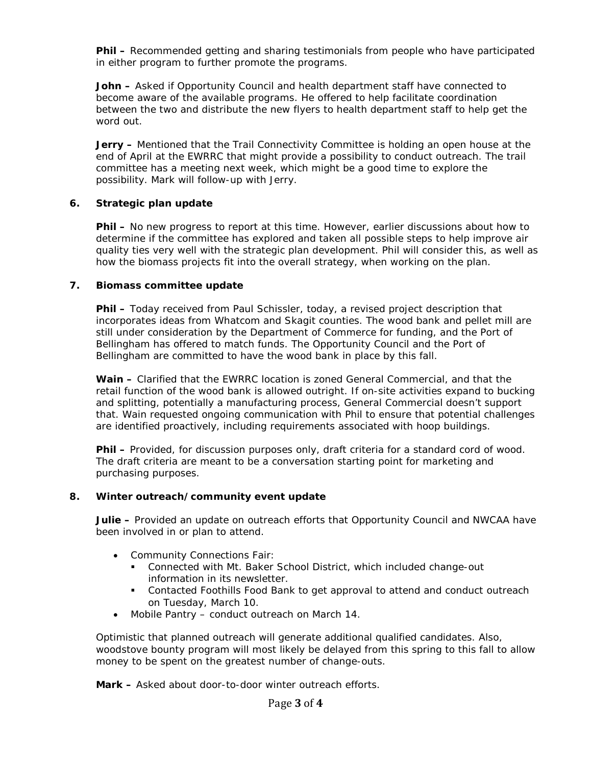**Phil –** Recommended getting and sharing testimonials from people who have participated in either program to further promote the programs.

**John –** Asked if Opportunity Council and health department staff have connected to become aware of the available programs. He offered to help facilitate coordination between the two and distribute the new flyers to health department staff to help get the word out.

**Jerry –** Mentioned that the Trail Connectivity Committee is holding an open house at the end of April at the EWRRC that might provide a possibility to conduct outreach. The trail committee has a meeting next week, which might be a good time to explore the possibility. Mark will follow-up with Jerry.

## **6. Strategic plan update**

**Phil –** No new progress to report at this time. However, earlier discussions about how to determine if the committee has explored and taken all possible steps to help improve air quality ties very well with the strategic plan development. Phil will consider this, as well as how the biomass projects fit into the overall strategy, when working on the plan.

## **7. Biomass committee update**

**Phil –** Today received from Paul Schissler, today, a revised project description that incorporates ideas from Whatcom and Skagit counties. The wood bank and pellet mill are still under consideration by the Department of Commerce for funding, and the Port of Bellingham has offered to match funds. The Opportunity Council and the Port of Bellingham are committed to have the wood bank in place by this fall.

**Wain –** Clarified that the EWRRC location is zoned General Commercial, and that the retail function of the wood bank is allowed outright. If on-site activities expand to bucking and splitting, potentially a manufacturing process, General Commercial doesn't support that. Wain requested ongoing communication with Phil to ensure that potential challenges are identified proactively, including requirements associated with hoop buildings.

**Phil –** Provided, for discussion purposes only, draft criteria for a standard cord of wood. The draft criteria are meant to be a conversation starting point for marketing and purchasing purposes.

## **8. Winter outreach/community event update**

**Julie –** Provided an update on outreach efforts that Opportunity Council and NWCAA have been involved in or plan to attend.

- Community Connections Fair:
	- Connected with Mt. Baker School District, which included change-out information in its newsletter.
	- Contacted Foothills Food Bank to get approval to attend and conduct outreach on Tuesday, March 10.
- Mobile Pantry conduct outreach on March 14.

Optimistic that planned outreach will generate additional qualified candidates. Also, woodstove bounty program will most likely be delayed from this spring to this fall to allow money to be spent on the greatest number of change-outs.

**Mark –** Asked about door-to-door winter outreach efforts.